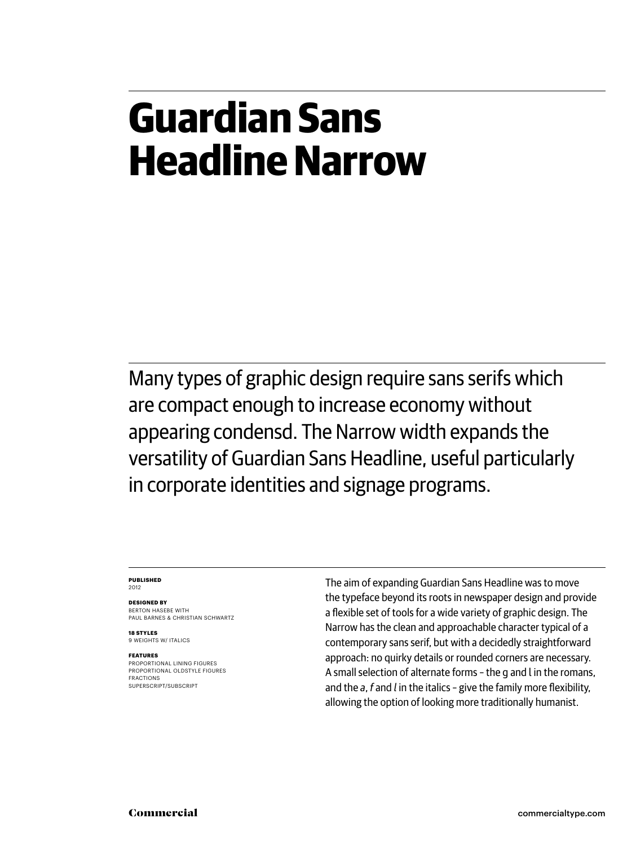### **Guardian Sans Headline Narrow**

Many types of graphic design require sans serifs which are compact enough to increase economy without appearing condensd. The Narrow width expands the versatility of Guardian Sans Headline, useful particularly in corporate identities and signage programs.

#### **Published** 2012

**Designed by** Berton Hasebe WITH Paul Barnes & Christian Schwartz

**18 styles** 9 WEIGHTS W/ ITALICS

#### **Features**

proportional lining figures proportional oldstyle figures fractions superscript/subscript

The aim of expanding Guardian Sans Headline was to move the typeface beyond its roots in newspaper design and provide a flexible set of tools for a wide variety of graphic design. The Narrow has the clean and approachable character typical of a contemporary sans serif, but with a decidedly straightforward approach: no quirky details or rounded corners are necessary. A small selection of alternate forms – the g and l in the romans, and the *a*, *f* and *l* in the italics – give the family more flexibility, allowing the option of looking more traditionally humanist.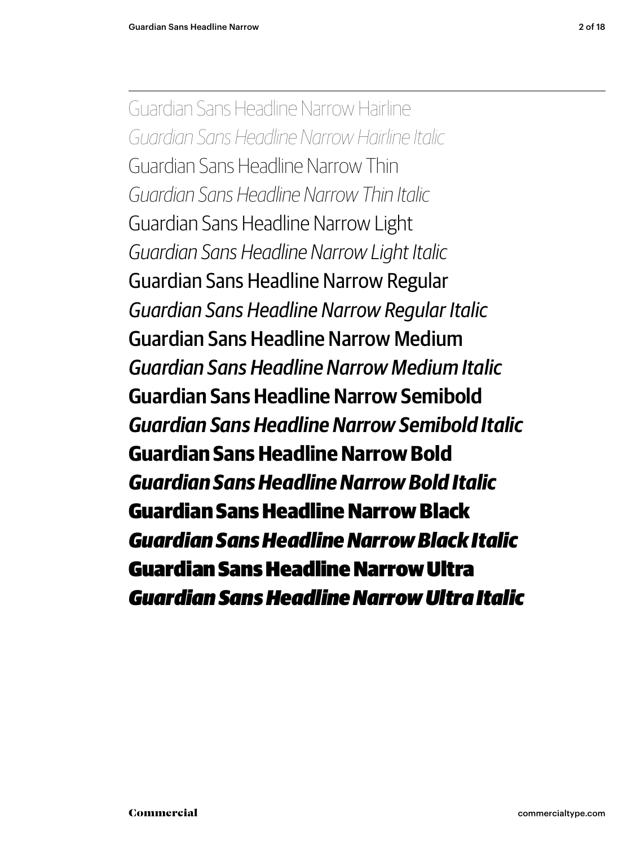Guardian Sans Headline Narrow Hairline *Guardian Sans Headline Narrow Hairline Italic* Guardian Sans Headline Narrow Thin *Guardian Sans Headline Narrow Thin Italic* Guardian Sans Headline Narrow Light *Guardian Sans Headline Narrow Light Italic* Guardian Sans Headline Narrow Regular *Guardian Sans Headline Narrow Regular Italic* Guardian Sans Headline Narrow Medium *Guardian Sans Headline Narrow Medium Italic* **Guardian Sans Headline Narrow Semibold** *Guardian Sans Headline Narrow Semibold Italic* **Guardian Sans Headline Narrow Bold** *Guardian Sans Headline Narrow Bold Italic* Guardian Sans Headline Narrow Black *Guardian Sans Headline Narrow Black Italic* Guardian Sans Headline Narrow Ultra *Guardian Sans Headline Narrow Ultra Italic*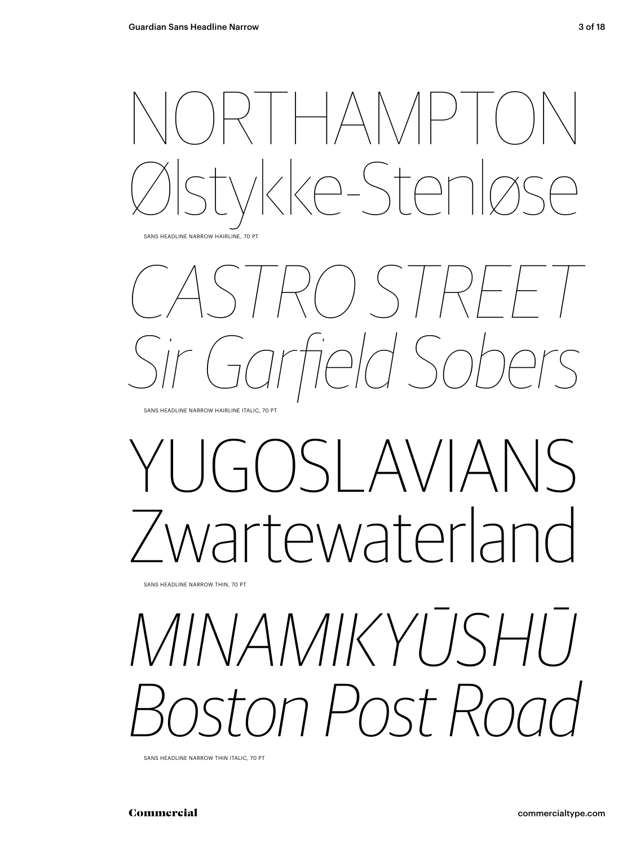$\Box$ ke-Stenløs sans Headline narrow HAIRLINE, 70 pt



sans Headline narrow HAIRLINE Italic, 70 pt

## insi AVIANS waterland

sans Headline narrow THIN, 70 pt

## *Minamikyūshū Boston Post Road*

sans Headline narrow THIN italic, 70 pt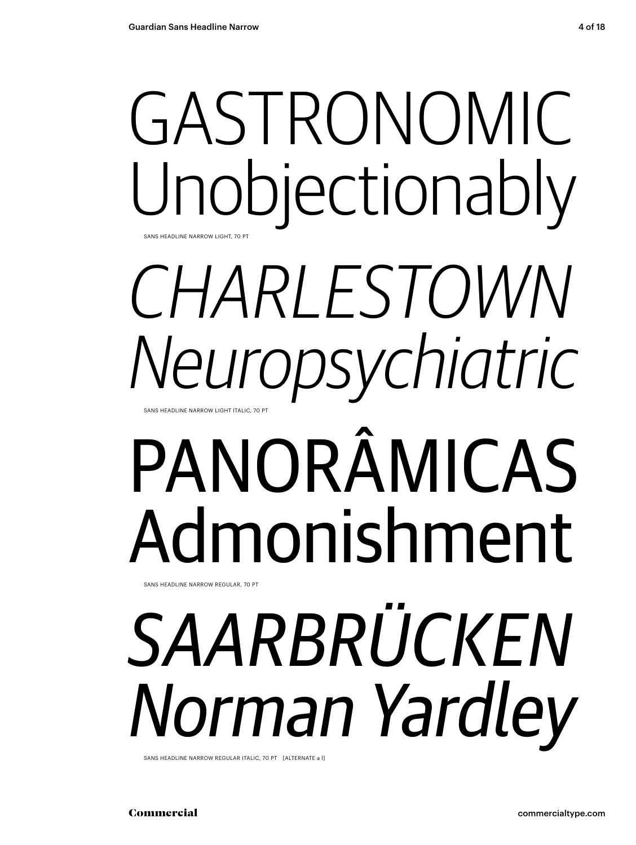## GASTRONOMIC Unobjectionably sans Headline narrow LIGHT, 70 pt

## *charlestown Neuropsychiatric* sans Headline narrow LIGHT Italic, 70 pt

# Panorâmicas Admonishment

sans Headline narrow REGULAr, 70 pt

# *Saarbrücken Norman Yardley*

sans Headline narrow REGULAR italic, 70 pt [alternate a l]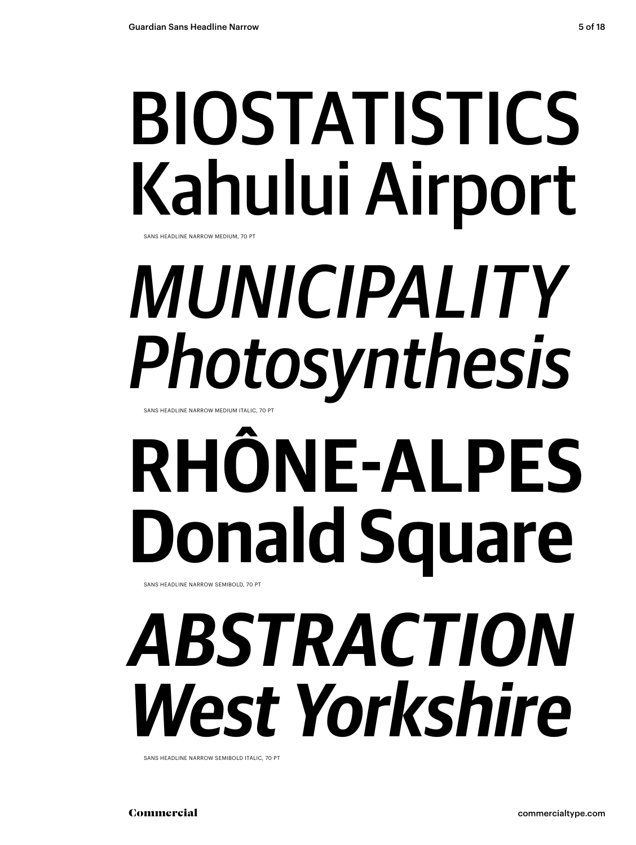## Biostatistics Kahului Airport sans Headline narrow MEDIUM, 70 pt

*municipality Photosynthesis*

sans Headline narrow MEDIUM Italic, 70 pt

# **Rhône-Alpes Donald Square**

sans Headline narrow SEMIBOLD, 70 pt

# *abstraction West Yorkshire*

SANS HEADLINE NARROW SEMIBOLD ITALIC, 70 PT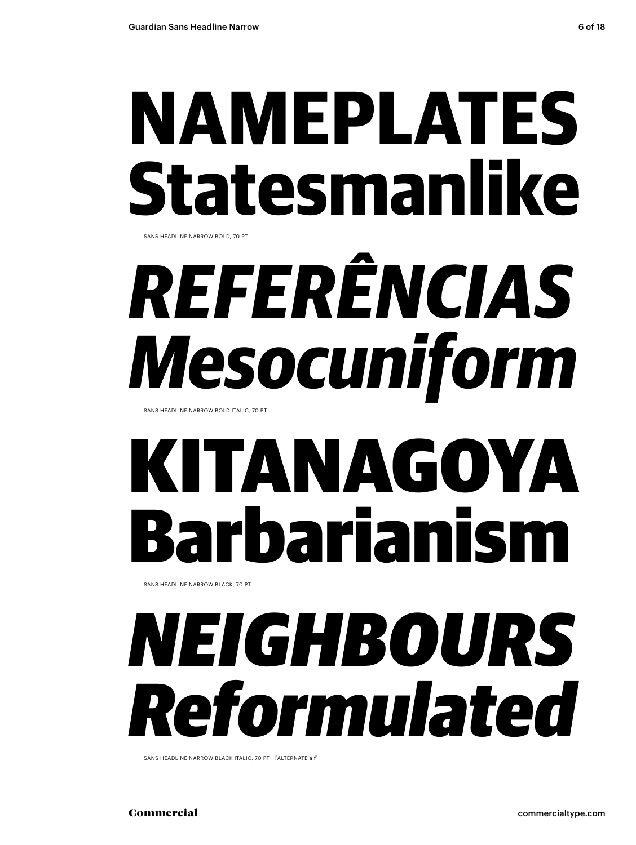# **nameplates Statesmanlike**

sans Headline narrow BOLD, 70 pt

# *Referências Mesocuniform*

sans Headline narro w BOLD Italic, 70 pt

# KITANAGOYA B arbarianism

sans Headl ine narrow BLACK, 70 pt

## *neighbours Reformulated*

SANS HEADLINE NARROW BLACK ITALIC, 70 PT [ALTERNATE a f]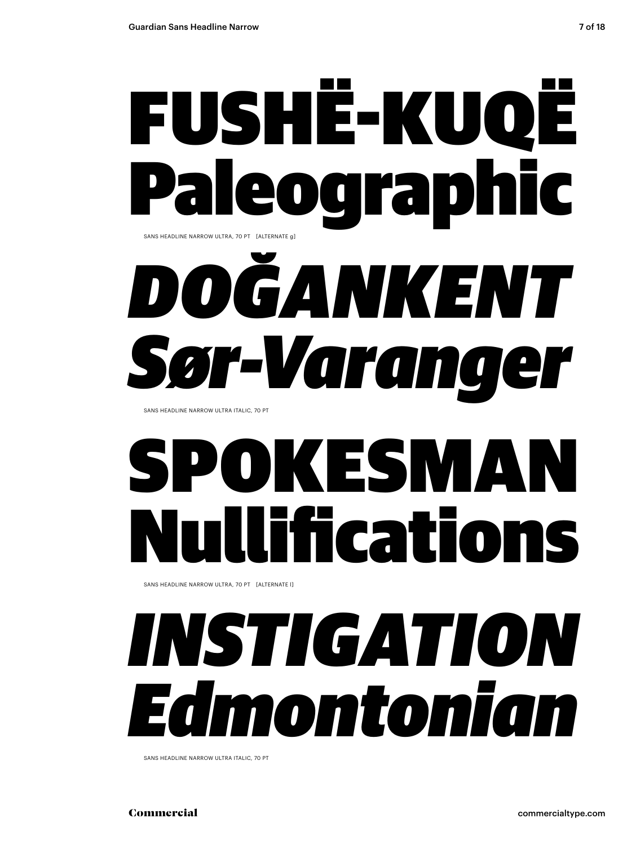## USHË-KUQË Paleographic sans Headline narrow ULTRA, 70 pt [alternate g]

# *Doğankent Sør-Varanger*

sans Headline narrow ULTRA Italic, 70 pt

# **DKESMAN** ificatio

SANS HEADLINE NARROW ULTRA, 70 PT [ALTERNATE I]

## *instigation Edmontonian*

sans Headline narrow ULTRA Italic, 70 pt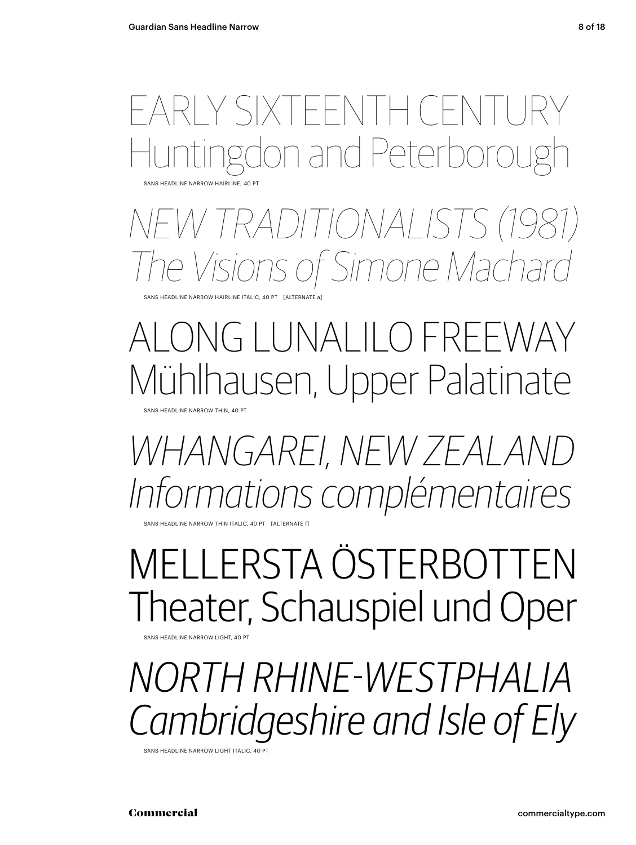#### SANS HEADLINE NARROW HAIRLINE, 40 PT RIY SIXTEENTH CE h and Peterl

*New Traditionalists (1981) The Visions of Simone Machard*

SANS HEADLINE NARROW HAIRLINE ITALIC, 40 PT [ALTERNATE a]

### along Lunalilo Freeway Mühlhausen, Upper Palatinate

sans Headline narrow thin, 40 pt

*Whangarei, new zealand Informations complémentaires*

sans Headline narrow thin italic, 40 pt [alternate f]

### Mellersta Österbotten Theater, Schauspiel und Oper

SANS HEADLINE NARROW LIGHT, 40

*North Rhine-Westphalia Cambridgeshire and Isle of Ely*

sans Headline narrow light Italic, 40 pt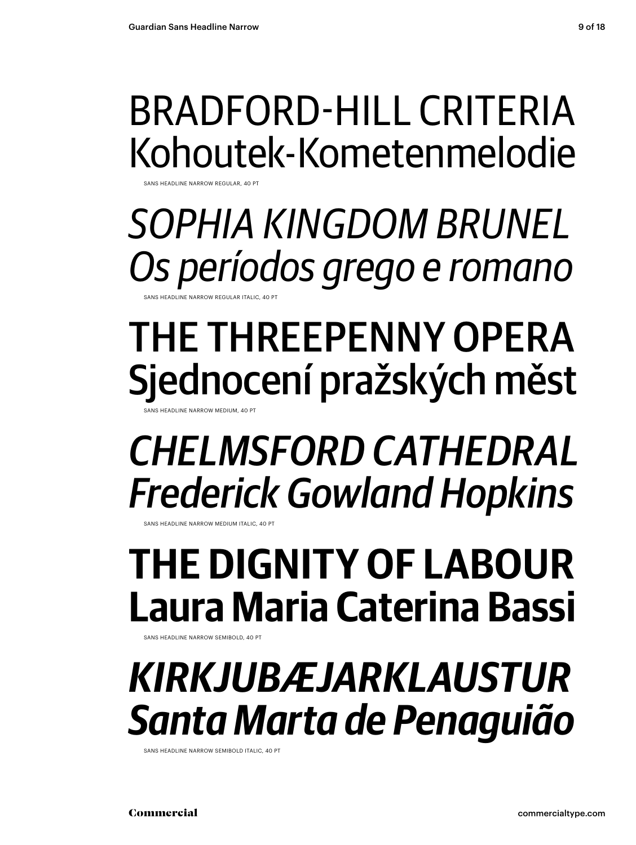### Bradford-Hill criteria Kohoutek-Kometenmelodie

SANS HEADLINE NARROW REGULAR, 40 P

### *Sophia Kingdom Brunel Os períodos grego e romano* **SALIE ADILINE NARROW REGULAR ITALIC**

## The Threepenny Opera Sjednocení pražských měst

**SANS HEADLINE NARROW MEDIUM** 

### *Chelmsford Cathedral Frederick Gowland Hopkins*

SANS HEADLINE NARROW MEDIUM ITALIC

### **The Dignity of Labour Laura Maria Caterina Bassi**

SANS HEADLINE NARROW SEMIBOLD, 40

### *Kirkjubæjarklaustur Santa Marta de Penaguião*

SANS HEADLINE NARROW SEMIROLD ITALIC, 40 PT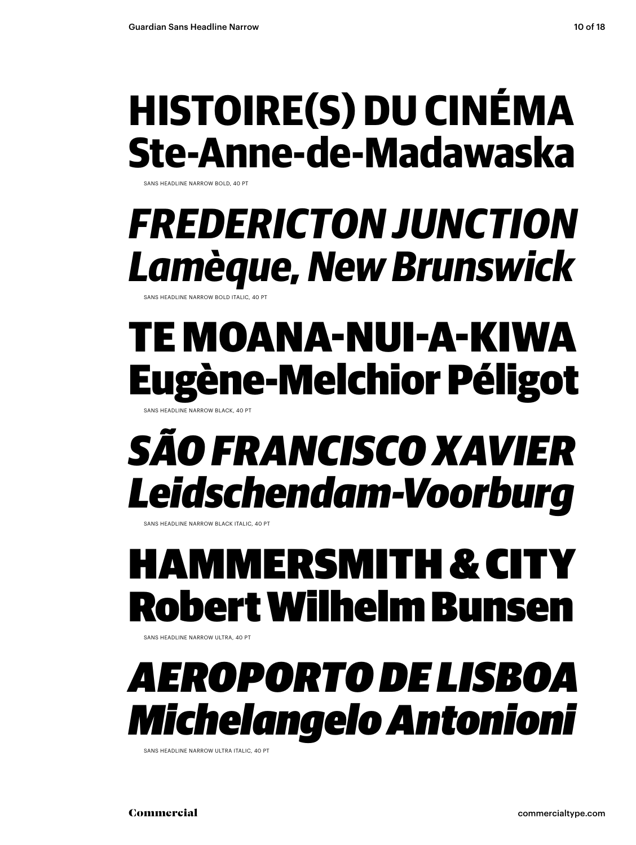## **Histoire(s) du cinéma Ste-Anne-de-Madawaska**

SANS HEADLINE NARROW BOLD, 40 PT

## *Fredericton Junction Lamèque, New Brunswick*

SANS HEADLINE NARROW BOLD ITALIC, 40 PT

## Te Moana-nui-a-Kiwa Eugène-Melchior Péligot

sans Headline narrow black, 40 pt

## *São Francisco Xavier Leidschendam-Voorburg*

sans Headline narrow black Italic, 40 pt

### Hammersmith & City bert Wilhelm Bunsen

sans Headline narrow ultra, 40 pt



SANS HEADLINE NARROW ULTRA ITALIC, 40 PT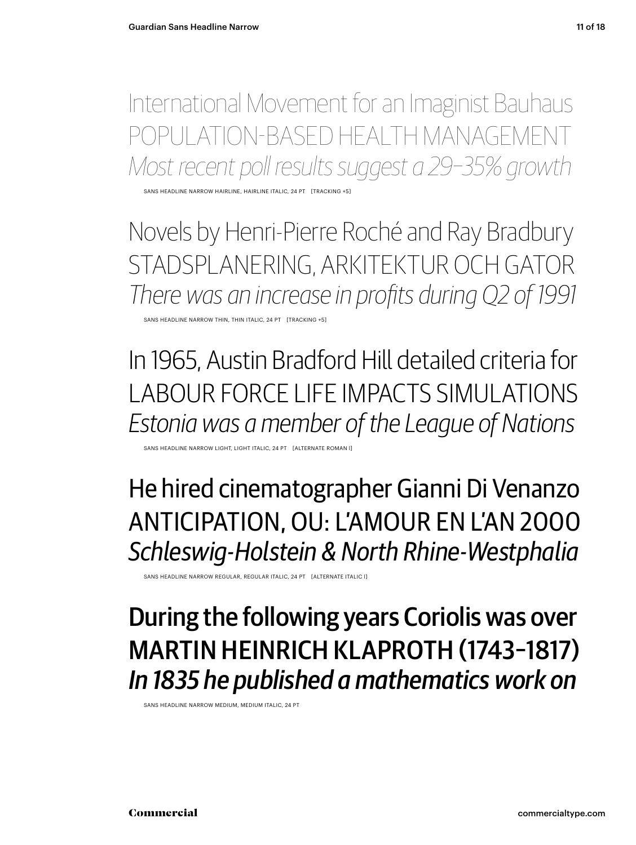International Movement for an Imaginist Bauhaus Population-based health management *Most recent poll results suggest a 29–35% growth*

sans headline narrow HAIRLINE, HAIRLINE Italic, 24 pt [tracking +5]

Novels by Henri-Pierre Roché and Ray Bradbury Stadsplanering, arkitektur och gator *There was an increase in profits during Q2 of 1991*

SANS HEADLINE NARROW THIN, THIN ITALIC, 24 PT [TRACKING +5]

In 1965, Austin Bradford Hill detailed criteria for Labour Force Life Impacts Simulations *Estonia was a member of the League of Nations*

sans headline narrow LIGHT, LIGHT Italic, 24 pt [alternate roman l]

He hired cinematographer Gianni Di Venanzo Anticipation, ou: l'amour en l'an 2000 *Schleswig-Holstein & North Rhine-Westphalia*

sans headline narrow REGULAR, REGULAR Italic, 24 pt [alternate italic l]

During the following years Coriolis was over Martin Heinrich Klaproth (1743–1817) *In 1835 he published a mathematics work on*

sans headline narrow MEDIUM, MEDIUM Italic, 24 pt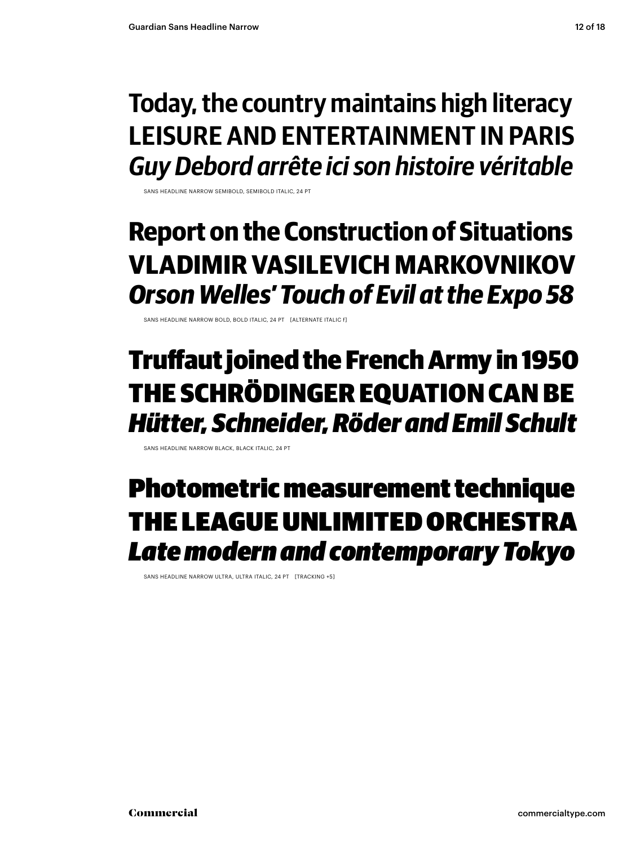#### **Today, the country maintains high literacy Leisure and entertainment in paris** *Guy Debord arrête ici son histoire véritable*

SANS HEADLINE NARROW SEMIBOLD, SEMIBOLD ITALIC

#### **Report on the Construction of Situations Vladimir Vasilevich Markovnikov** *Orson Welles' Touch of Evil at the Expo 58*

SANS HEADLINE NARROW BOLD, BOLD ITALIC, 24 PT [ALTERNATE ITALIC f]

#### Truffaut joined the French Army in 1950 the Schrödinger equation canbe *Hütter, Schneider, Röder and Emil Schult*

sans headline narrow black, black Italic, 24 pt

#### Photometric measurement technique The League Unlimited Orchestra *Late modern and contemporary Tokyo*

sans headline narrow ultra, ultra Italic, 24 pt [tracking +5]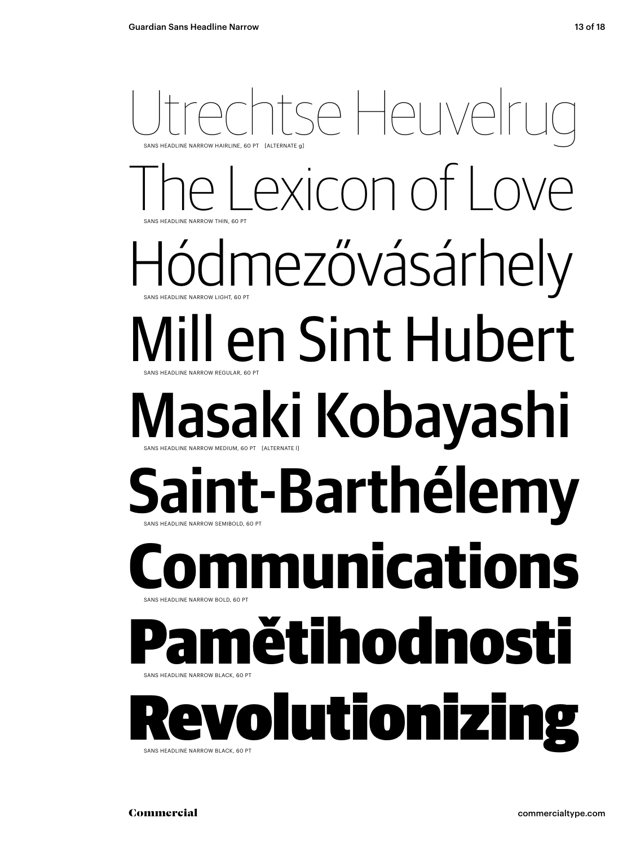### Itse Heuvel sans Headline narrow THIN, 60 pt SANS HEADLINE NARROW HAIRLINE, 60 PT [ALTERNATE g] exicon of Love Hódmezővásárhely sans Headline narrow REGULAR, 60 pt sans Headline narrow LIGHT, 60 pt Mill en Sint Hubert Masaki Kobayashi SANS HEADLINE NARROW SEMIBOLD, 60 PT sans Headline narrow MEDIUM, 60 pt [alternate l] int-Barthélemy **Runications** sans Headline narrow BLACK, 60 pt sans Headline narrow BOLD, 60 pt ětihodnosti Rans HEADL eine Narro plutionizi SANS HEADLINE NARROW BLACK, 60 PT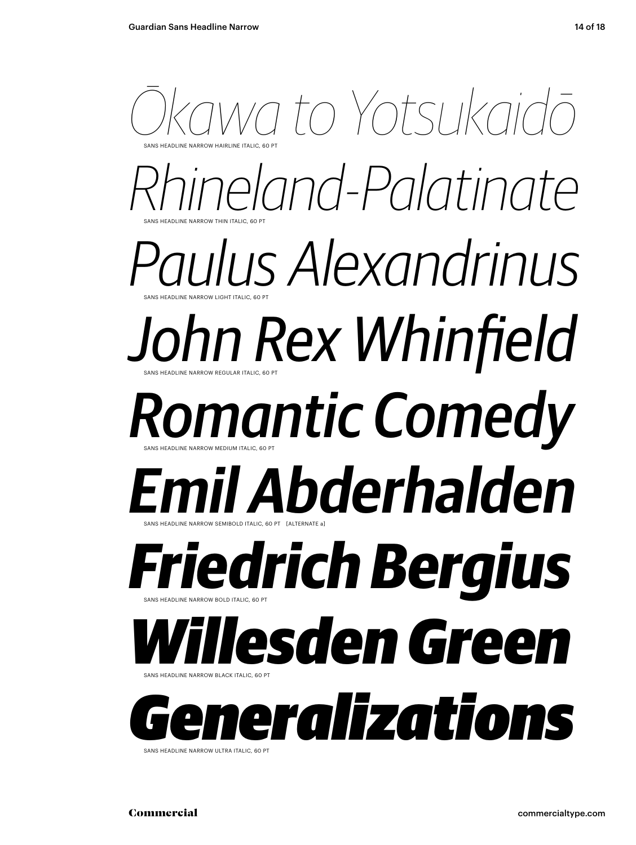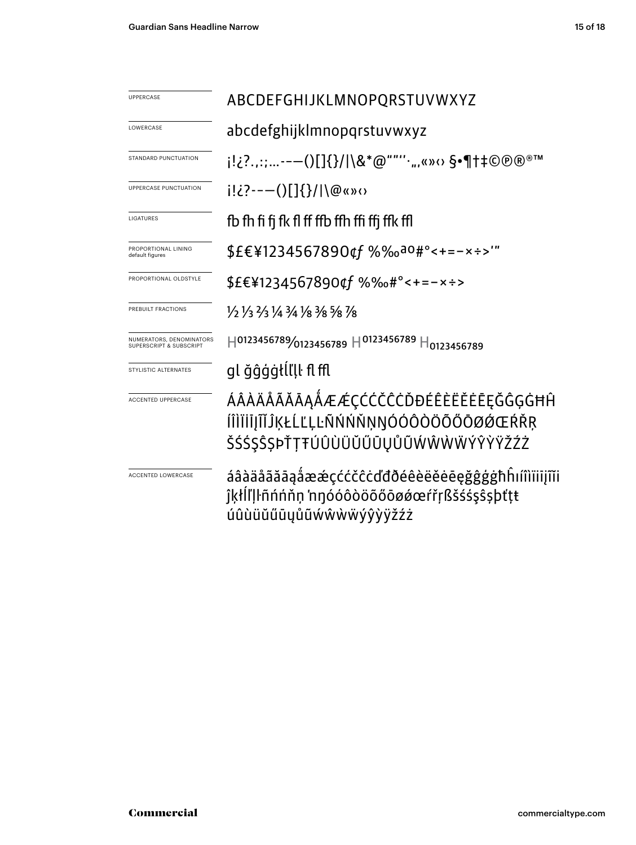| <b>UPPERCASE</b>                                               | ABCDEFGHIJKLMNOPQRSTUVWXYZ                                                                                                    |  |
|----------------------------------------------------------------|-------------------------------------------------------------------------------------------------------------------------------|--|
| LOWERCASE                                                      | abcdefghijklmnopqrstuvwxyz                                                                                                    |  |
| STANDARD PUNCTUATION                                           | j!¿?.,:;--—()[]{}/ \&*@""''·",«»⇔§•¶†‡©®®™                                                                                    |  |
| UPPERCASE PUNCTUATION                                          | $i!i$ ?---()[]{}/ \@«»<                                                                                                       |  |
| LIGATURES                                                      | fb fh fi fi fk fl ff ffb ffh ffi ffj ffk ffl                                                                                  |  |
| PROPORTIONAL LINING<br>default figures                         | \$£€¥1234567890¢f %‰ <sup>ao</sup> #°<+=-×÷>'"                                                                                |  |
| PROPORTIONAL OLDSTYLE                                          | \$£€¥1234567890¢f %‰#°<+=-x÷>                                                                                                 |  |
| PREBUILT FRACTIONS                                             | $\frac{1}{2}$ $\frac{1}{3}$ $\frac{2}{3}$ $\frac{1}{4}$ $\frac{3}{4}$ $\frac{1}{8}$ $\frac{3}{8}$ $\frac{5}{8}$ $\frac{7}{8}$ |  |
| NUMERATORS, DENOMINATORS<br><b>SUPERSCRIPT &amp; SUBSCRIPT</b> | $H$ 0123456789 $\gamma$ 0123456789 $H$ 0123456789 $H$ 0123456789                                                              |  |
| STYLISTIC ALTERNATES                                           | gl ğĝģģtĺľļŀ fl ffl                                                                                                           |  |
| <b>ACCENTED UPPERCASE</b>                                      | ÁÂÀÄÅÃĂĀĄÅÆÆÇĆĆČĊŎĐÉÊÈËĔĒĘĞĜĢĠĦĤ<br>ÍÎÌÏİIJĨĬĴĶŁĹĽĻĿÑŃŃŇŅŊÓÓÔŎŎŐŎØØŒŔŘŖ<br>ŠŚŚŞŜŞÞŤŢŦÚÛÙÜŬŰŨŲŮŨŴŴŴŴÝŶŸŽŹŻ                     |  |
| <b>ACCENTED LOWERCASE</b>                                      | áâàäåãăāaåææçććčĉċďđðéêèëěēeğĝģġħĥıíîìiiijĩĭi<br>ĵķłĺľļŀñńńňn 'nnóóôòöõőōøǿœŕřŗßšśśşŝşþťtŧ<br>úûùüŭűūyůũẃŵẁẅýŷỳÿžźż           |  |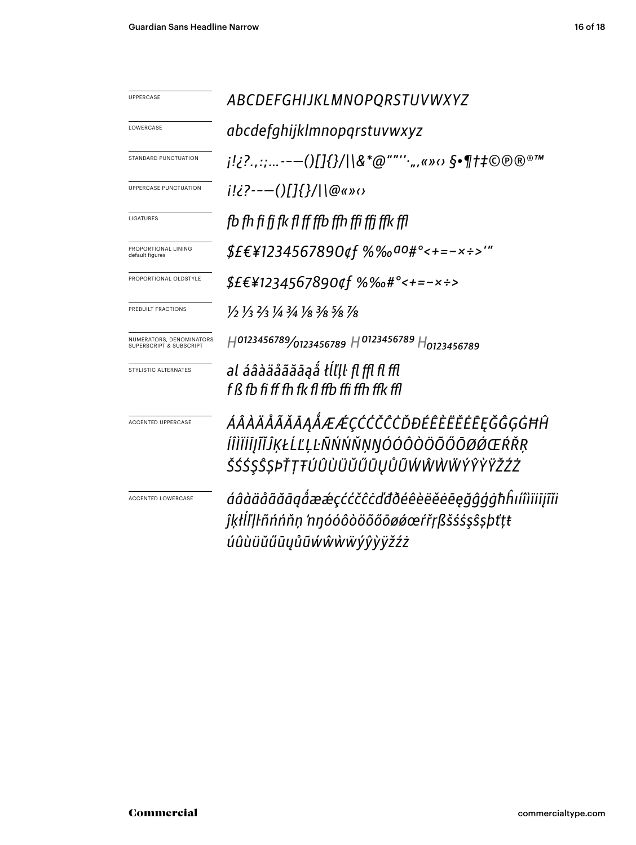| <b>UPPERCASE</b>                                    | ABCDEFGHIJKLMNOPQRSTUVWXYZ                                                                                           |  |
|-----------------------------------------------------|----------------------------------------------------------------------------------------------------------------------|--|
| LOWERCASE                                           | abcdefghijklmnopqrstuvwxyz                                                                                           |  |
| STANDARD PUNCTUATION                                |                                                                                                                      |  |
| <b>UPPERCASE PUNCTUATION</b>                        | $i!i$ ?---()[]{}/ \@«» $\alpha$                                                                                      |  |
| LIGATURES                                           | fb fh fi fi fk fl ff ffb ffh ffi ffi ffk ffl                                                                         |  |
| PROPORTIONAL LINING<br>default figures              | \$£€¥1234567890¢f %‰ao#°<+=-x÷>'"                                                                                    |  |
| PROPORTIONAL OLDSTYLE                               | $$E€¥1234567890¢f %%*+=-x÷>$                                                                                         |  |
| PREBUILT FRACTIONS                                  | 1/2 1/3 2/3 1/4 3/4 1/8 3/8 5/8 7/8                                                                                  |  |
| NUMERATORS, DENOMINATORS<br>SUPERSCRIPT & SUBSCRIPT | $H^{0123456789}$ 0123456789 $H^{0123456789}$ $H_{0123456789}$                                                        |  |
| STYLISTIC ALTERNATES                                | al áâàäåããāaå tĺľḷŀ fl ffl fl ffl<br>f ß fb fi ff fh fk fl ffb ffi ffh ffk ffl                                       |  |
| <b>ACCENTED UPPERCASE</b>                           | ÁÂÀÄÅÃĂĀĄÅÆÆÇĆĆČĈŎĐÉÊÈËĔĒĘĞĜĢĠĦĤ<br>ÍÎÌÏİIJĨĬĴĶŁĹĽĻĿÑŃŃŇŅŊÓÓÔÒÖÕŐŌØØŒŔŘŖ<br>ŠŚŚŞŜȘÞŤŢŦÚÛÙÜŬŰŨŲŮŨŴŴŴŴÝŶŸŽŹŻ           |  |
| <b>ACCENTED LOWERCASE</b>                           | áâàäåããāąåææçććčĉcďđðéêèëĕėēęğĝģġħĥıíîìïiijĩĭi<br>ĵķłĺľļŀñńńňņ 'nŋóóôòöõőōøǿœŕřŗßšśśşŝşþťṭŧ<br>úûùüŭűūyůũẃŵẁẅýŷỳÿžźż |  |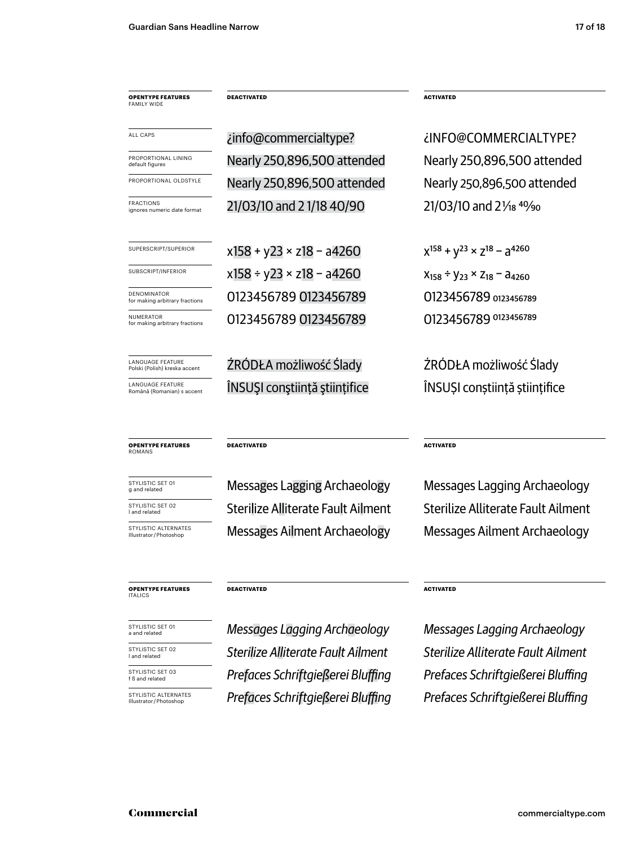| <b>OPENTYPE FEATURES</b><br><b>FAMILY WIDE</b>           | <b>DEACTIVATED</b>                 | <b>ACTIVATED</b>                                |  |
|----------------------------------------------------------|------------------------------------|-------------------------------------------------|--|
| <b>ALL CAPS</b>                                          | ¿info@commercialtype?              | ¿INFO@COMMERCIALTYPE?                           |  |
| PROPORTIONAL LINING<br>default figures                   | Nearly 250,896,500 attended        | Nearly 250,896,500 attended                     |  |
| PROPORTIONAL OLDSTYLE                                    | Nearly 250,896,500 attended        | Nearly 250,896,500 attended                     |  |
| <b>FRACTIONS</b><br>ignores numeric date format          | 21/03/10 and 21/18 40/90           | $21/03/10$ and $2\frac{1}{8}$ <sup>40</sup> /90 |  |
| SUPERSCRIPT/SUPERIOR                                     | $x158 + y23 \times z18 - a4260$    | $x^{158} + y^{23} \times z^{18} - a^{4260}$     |  |
| SUBSCRIPT/INFERIOR                                       | $x158 \div y23 \times z18 - a4260$ | $X_{158} \div Y_{23} \times Z_{18} - A_{4260}$  |  |
| <b>DENOMINATOR</b><br>for making arbitrary fractions     | 0123456789 0123456789              | 0123456789 0123456789                           |  |
| <b>NUMERATOR</b><br>for making arbitrary fractions       | 0123456789 0123456789              | 0123456789 0123456789                           |  |
| <b>LANGUAGE FEATURE</b><br>Polski (Polish) kreska accent | ŹRÓDŁA możliwość Ślady             | ŹRÓDŁA możliwość Ślady                          |  |
| <b>LANGUAGE FEATURE</b><br>Română (Romanian) s accent    | ÎNSUȘI conștiință științifice      | ÎNSUȘI conștiință științifice                   |  |

#### **opentype FEATUREs** romans

STYLISTIC SET 01<br>g and related

STYLISTIC SET 02<br>I and related

STYLISTIC ALTERNATES<br>Illustrator/Photoshop

#### **opentype FEATUREs ITALICS**

STYLISTIC SET 01<br>a and related

STYLISTIC SET 02<br>I and related

STYLISTIC SET 03<br>f ß and related

STYLISTIC ALTERNATES<br>Illustrator/Photoshop

#### **DEACTIVATED ACTIVATED**

Messages Lagging Archaeology Messages Lagging Archaeology Sterilize Alliterate Fault Ailment Sterilize Alliterate Fault Ailment Messages Ailment Archaeology Messages Ailment Archaeology

f ß and related *Prefaces Schriftgießerei Bluffing Prefaces Schriftgießerei Bluffing* Illustrator / Photoshop *Prefaces Schriftgießerei Bluffing Prefaces Schriftgießerei Bluffing* a and related *Messages Lagging Archaeology Messages Lagging Archaeology* l and related *Sterilize Alliterate Fault Ailment Sterilize Alliterate Fault Ailment*

**DEACTIVATED ACTIVATED**